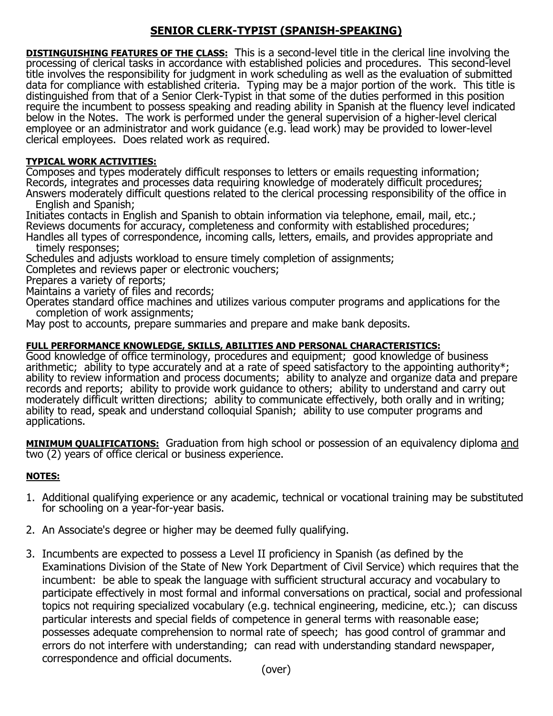## **SENIOR CLERK-TYPIST (SPANISH-SPEAKING)**

**DISTINGUISHING FEATURES OF THE CLASS:** This is a second-level title in the clerical line involving the processing of clerical tasks in accordance with established policies and procedures. This second-level title involves the responsibility for judgment in work scheduling as well as the evaluation of submitted data for compliance with established criteria. Typing may be a major portion of the work. This title is distinguished from that of a Senior Clerk-Typist in that some of the duties performed in this position require the incumbent to possess speaking and reading ability in Spanish at the fluency level indicated below in the Notes. The work is performed under the general supervision of a higher-level clerical employee or an administrator and work guidance (e.g. lead work) may be provided to lower-level clerical employees. Does related work as required.

## **TYPICAL WORK ACTIVITIES:**

Composes and types moderately difficult responses to letters or emails requesting information; Records, integrates and processes data requiring knowledge of moderately difficult procedures; Answers moderately difficult questions related to the clerical processing responsibility of the office in

English and Spanish;

Initiates contacts in English and Spanish to obtain information via telephone, email, mail, etc.; Reviews documents for accuracy, completeness and conformity with established procedures; Handles all types of correspondence, incoming calls, letters, emails, and provides appropriate and

timely responses;

Schedules and adjusts workload to ensure timely completion of assignments;

Completes and reviews paper or electronic vouchers;

Prepares a variety of reports;

Maintains a variety of files and records;

Operates standard office machines and utilizes various computer programs and applications for the completion of work assignments;

May post to accounts, prepare summaries and prepare and make bank deposits.

## **FULL PERFORMANCE KNOWLEDGE, SKILLS, ABILITIES AND PERSONAL CHARACTERISTICS:**

Good knowledge of office terminology, procedures and equipment; good knowledge of business arithmetic; ability to type accurately and at a rate of speed satisfactory to the appointing authority\*; ability to review information and process documents; ability to analyze and organize data and prepare records and reports; ability to provide work guidance to others; ability to understand and carry out moderately difficult written directions; ability to communicate effectively, both orally and in writing; ability to read, speak and understand colloquial Spanish; ability to use computer programs and applications.

**MINIMUM QUALIFICATIONS:** Graduation from high school or possession of an equivalency diploma and two (2) years of office clerical or business experience.

## **NOTES:**

- 1. Additional qualifying experience or any academic, technical or vocational training may be substituted for schooling on a year-for-year basis.
- 2. An Associate's degree or higher may be deemed fully qualifying.
- 3. Incumbents are expected to possess a Level II proficiency in Spanish (as defined by the Examinations Division of the State of New York Department of Civil Service) which requires that the incumbent: be able to speak the language with sufficient structural accuracy and vocabulary to participate effectively in most formal and informal conversations on practical, social and professional topics not requiring specialized vocabulary (e.g. technical engineering, medicine, etc.); can discuss particular interests and special fields of competence in general terms with reasonable ease; possesses adequate comprehension to normal rate of speech; has good control of grammar and errors do not interfere with understanding; can read with understanding standard newspaper, correspondence and official documents.